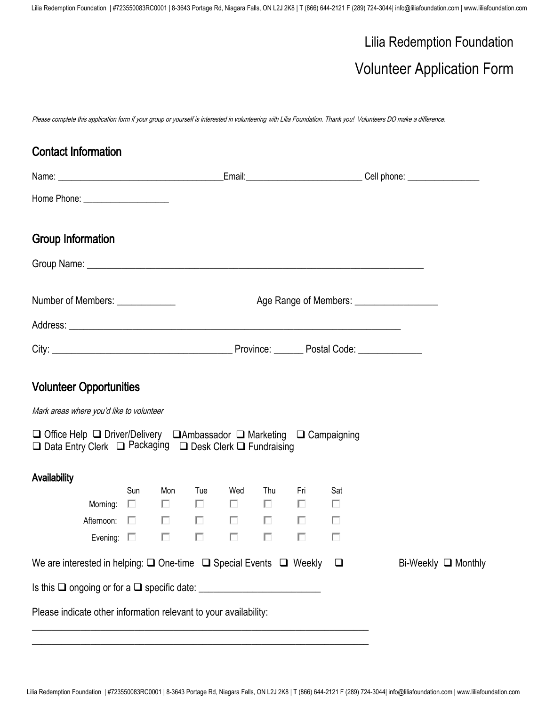# Lilia Redemption Foundation

## Volunteer Application Form

Please complete this application form if your group or yourself is interested in volunteering with Lilia Foundation. Thank you! Volunteers DO make a difference.

| <b>Contact Information</b>                                                                                                          |               |     |                          |                                            |                      |     |                                              |                            |
|-------------------------------------------------------------------------------------------------------------------------------------|---------------|-----|--------------------------|--------------------------------------------|----------------------|-----|----------------------------------------------|----------------------------|
|                                                                                                                                     |               |     |                          |                                            |                      |     |                                              |                            |
|                                                                                                                                     |               |     |                          |                                            |                      |     |                                              |                            |
| <b>Group Information</b>                                                                                                            |               |     |                          |                                            |                      |     |                                              |                            |
|                                                                                                                                     |               |     |                          |                                            |                      |     |                                              |                            |
| Number of Members: ____________                                                                                                     |               |     |                          |                                            |                      |     | Age Range of Members: ______________________ |                            |
|                                                                                                                                     |               |     |                          |                                            |                      |     |                                              |                            |
|                                                                                                                                     |               |     |                          |                                            |                      |     |                                              |                            |
| <b>Volunteer Opportunities</b>                                                                                                      |               |     |                          |                                            |                      |     |                                              |                            |
| Mark areas where you'd like to volunteer                                                                                            |               |     |                          |                                            |                      |     |                                              |                            |
| □ Office Help □ Driver/Delivery □ Ambassador □ Marketing □ Campaigning<br>□ Data Entry Clerk □ Packaging □ Desk Clerk □ Fundraising |               |     |                          |                                            |                      |     |                                              |                            |
| Availability                                                                                                                        |               |     |                          |                                            |                      |     |                                              |                            |
| Morning:                                                                                                                            | Sun<br>$\Box$ | Mon | Tue                      | Wed<br>$\Box$ $\Box$ $\Box$                | Thu<br>$\Box$ $\Box$ | Fri | Sat<br>П                                     |                            |
| Afternoon: $\square$                                                                                                                |               | П   | $\overline{\phantom{a}}$ | <b>Contract Contract Contract Contract</b> | $\Box$               | П   | п                                            |                            |
| Evening: $\square$                                                                                                                  |               | П   | Г                        |                                            |                      |     |                                              |                            |
| We are interested in helping: $\square$ One-time $\square$ Special Events $\square$ Weekly $\square$                                |               |     |                          |                                            |                      |     |                                              | Bi-Weekly <b>□</b> Monthly |
| $\overline{\phantom{a}}$ is this $\Box$ ongoing or for a $\Box$ specific date: $\_\_\_\_\_\_\_\_\_\_\_\_\_\_\_\_\_\_\_\_\_$         |               |     |                          |                                            |                      |     |                                              |                            |
| Please indicate other information relevant to your availability:                                                                    |               |     |                          |                                            |                      |     |                                              |                            |

\_\_\_\_\_\_\_\_\_\_\_\_\_\_\_\_\_\_\_\_\_\_\_\_\_\_\_\_\_\_\_\_\_\_\_\_\_\_\_\_\_\_\_\_\_\_\_\_\_\_\_\_\_\_\_\_\_\_\_\_\_\_\_\_\_\_\_\_\_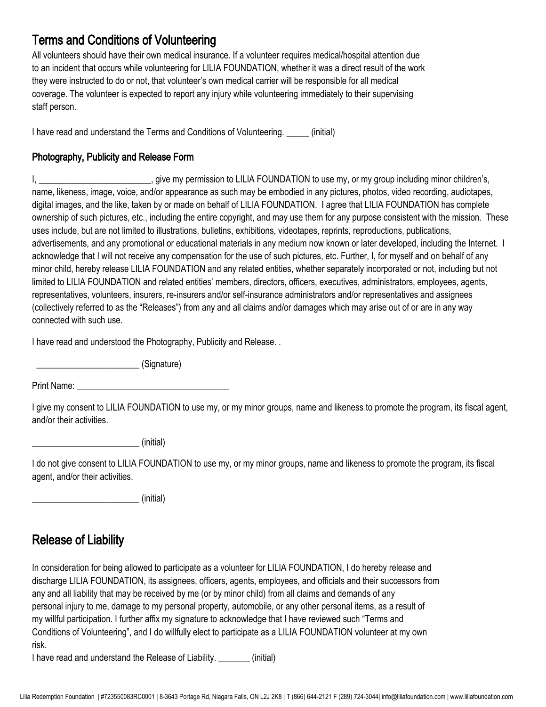## Terms and Conditions of Volunteering

All volunteers should have their own medical insurance. If a volunteer requires medical/hospital attention due to an incident that occurs while volunteering for LILIA FOUNDATION, whether it was a direct result of the work they were instructed to do or not, that volunteer's own medical carrier will be responsible for all medical coverage. The volunteer is expected to report any injury while volunteering immediately to their supervising staff person.

I have read and understand the Terms and Conditions of Volunteering. \_\_\_\_\_ (initial)

#### Photography, Publicity and Release Form

I, \_\_\_\_\_\_\_\_\_\_\_\_\_\_\_\_\_\_\_\_\_\_\_\_\_\_\_\_\_\_\_, give my permission to LILIA FOUNDATION to use my, or my group including minor children's, name, likeness, image, voice, and/or appearance as such may be embodied in any pictures, photos, video recording, audiotapes, digital images, and the like, taken by or made on behalf of LILIA FOUNDATION. I agree that LILIA FOUNDATION has complete ownership of such pictures, etc., including the entire copyright, and may use them for any purpose consistent with the mission. These uses include, but are not limited to illustrations, bulletins, exhibitions, videotapes, reprints, reproductions, publications, advertisements, and any promotional or educational materials in any medium now known or later developed, including the Internet. I acknowledge that I will not receive any compensation for the use of such pictures, etc. Further, I, for myself and on behalf of any minor child, hereby release LILIA FOUNDATION and any related entities, whether separately incorporated or not, including but not limited to LILIA FOUNDATION and related entities' members, directors, officers, executives, administrators, employees, agents, representatives, volunteers, insurers, re-insurers and/or self-insurance administrators and/or representatives and assignees (collectively referred to as the "Releases") from any and all claims and/or damages which may arise out of or are in any way connected with such use.

I have read and understood the Photography, Publicity and Release. .

\_\_\_\_\_\_\_\_\_\_\_\_\_\_\_\_\_\_\_\_\_\_\_ (Signature)

Print Name: \_\_\_\_\_\_\_\_\_\_\_\_\_\_\_\_\_\_\_\_\_\_\_\_\_\_\_\_\_\_\_\_\_\_

I give my consent to LILIA FOUNDATION to use my, or my minor groups, name and likeness to promote the program, its fiscal agent, and/or their activities.

 $\sim$  (initial)

I do not give consent to LILIA FOUNDATION to use my, or my minor groups, name and likeness to promote the program, its fiscal agent, and/or their activities.

 $\sim$  (initial)

## Release of Liability

In consideration for being allowed to participate as a volunteer for LILIA FOUNDATION, I do hereby release and discharge LILIA FOUNDATION, its assignees, officers, agents, employees, and officials and their successors from any and all liability that may be received by me (or by minor child) from all claims and demands of any personal injury to me, damage to my personal property, automobile, or any other personal items, as a result of my willful participation. I further affix my signature to acknowledge that I have reviewed such "Terms and Conditions of Volunteering", and I do willfully elect to participate as a LILIA FOUNDATION volunteer at my own risk.

I have read and understand the Release of Liability. \_\_\_\_\_\_\_ (initial)